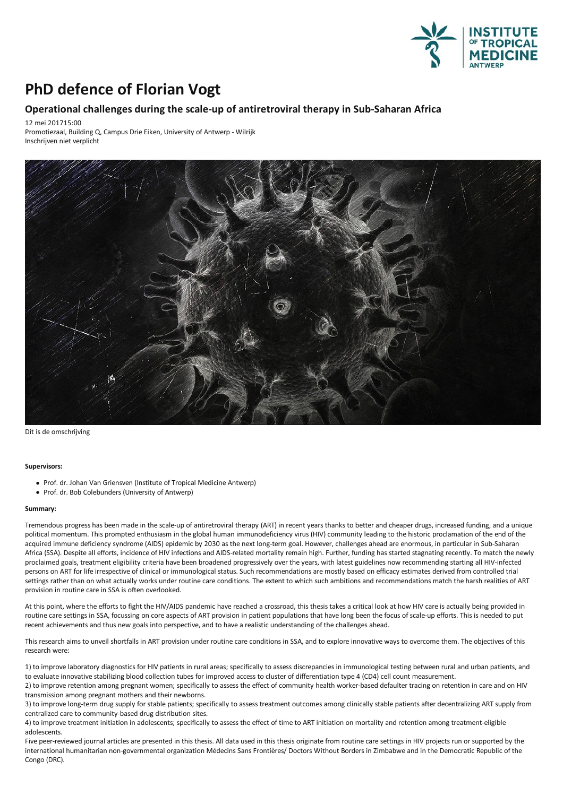

## **PhD defence of Florian Vogt**

## **Operational challenges duringthe scale-up of antiretroviral therapy in Sub-Saharan Africa**

12 mei 201715:00

Promotiezaal, Building Q, Campus Drie Eiken, University of Antwerp - Wilrijk Inschrijven niet verplicht



Dit is de omschrijving

## **Supervisors:**

- Prof. dr. Johan Van Griensven (Institute of Tropical Medicine Antwerp)
- Prof. dr. Bob Colebunders (University of Antwerp)

## **Summary:**

Tremendous progress has been made in the scale-up of antiretroviral therapy (ART) in recent years thanks to better and cheaper drugs, increased funding, and a unique political momentum.This prompted enthusiasm in the global human immunodeficiency virus (HIV) community leading to the historic proclamation of the end of the acquired immune deficiency syndrome (AIDS) epidemic by 2030 as the next long-term goal. However, challenges ahead are enormous, in particular in Sub-Saharan Africa (SSA). Despite all efforts, incidence of HIV infections and AIDS-related mortality remain high. Further, funding has started stagnating recently. To match the newly proclaimed goals, treatment eligibility criteria have been broadened progressively over the years, with latestguidelines now recommending startingall HIV-infected persons on ART for life irrespective of clinical or immunological status. Such recommendations are mostly based on efficacy estimates derived from controlled trial settings rather than on what actually works under routine care conditions. The extent to which such ambitions and recommendations match the harsh realities of ART provision in routine care in SSA is often overlooked.

At this point, where the efforts to fight the HIV/AIDS pandemic have reached a crossroad, this thesis takes a critical look at how HIV care is actually being provided in routine care settings in SSA, focussing on core aspects of ART provision in patient populations that have long been the focus of scale-up efforts. This is needed to put recent achievements and thus new goals into perspective, and to have a realistic understanding of the challenges ahead.

This research aims to unveil shortfalls in ART provision under routine care conditions in SSA, and to explore innovative ways to overcome them. The objectives of this research were:

1) to improve laboratory diagnostics for HIV patients in rural areas; specifically to assess discrepancies in immunological testing between rural and urban patients, and to evaluate innovative stabilizing blood collection tubes for improved access to cluster of differentiation type 4 (CD4) cell count measurement.

2) to improve retention among pregnant women; specifically to assess the effect of community health worker-based defaulter tracing on retention in care and on HIV transmission among pregnant mothers and their newborns.

3) to improve long-term drug supply for stable patients; specifically to assess treatment outcomes among clinically stable patients after decentralizing ART supply from centralized care to community-based drug distribution sites.

4) to improve treatment initiation in adolescents; specifically to assess the effect of time to ART initiation on mortality and retention among treatment-eligible adolescents.

Five peer-reviewed journal articles are presented in this thesis. All data used in this thesis originate from routine care settings in HIV projects run or supported by the international humanitarian non-governmental organization Médecins Sans Frontières/ Doctors Without Borders in Zimbabwe and in the Democratic Republic of the Congo (DRC).